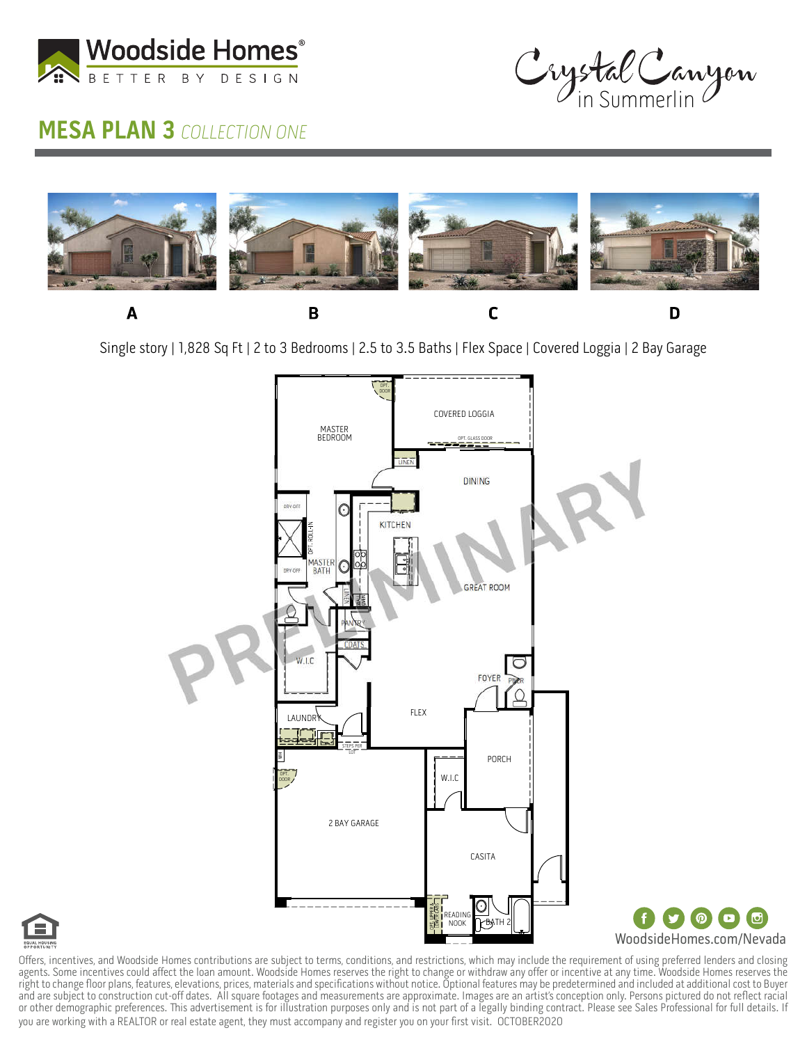

## **MESA PLAN 3 COLLECTION ONE**

Crystal Canyon



Single story | 1,828 Sq Ft | 2 to 3 Bedrooms | 2.5 to 3.5 Baths | Flex Space | Covered Loggia | 2 Bay Garage





Offers, incentives, and Woodside Homes contributions are subject to terms, conditions, and restrictions, which may include the requirement of using preferred lenders and closing agents. Some incentives could affect the loan amount. Woodside Homes reserves the right to change or withdraw any offer or incentive at any time. Woodside Homes reserves the right to change floor plans, features, elevations, prices, materials and specifications without notice. Optional features may be predetermined and included at additional cost to Buyer and are subject to construction cut-off dates. All square footages and measurements are approximate. Images are an artist's conception only. Persons pictured do not reflect racial or other demographic preferences. This advertisement is for illustration purposes only and is not part of a legally binding contract. Please see Sales Professional for full details. If you are working with a REALTOR or real estate agent, they must accompany and register you on your first visit. OCTOBER2020